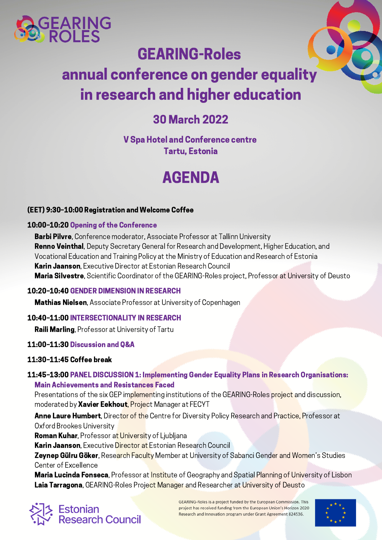

# GEARING-Roles

# annual conference on gender equality in research and higher education

# 30 March 2022

V Spa Hotel and Conference centre Tartu, Estonia

# AGENDA

#### (EET) 9:30–10:00 Registration and Welcome Coffee

#### 10:00–10:20 Opening of the Conference

**Barbi Pilvre**, Conference moderator, Associate Professor at Tallinn University **Renno Veinthal**, Deputy Secretary General for Research and Development, Higher Education, and Vocational Education and Training Policy at the Ministry of Education and Research of Estonia Karin Jaanson, Executive Director at Estonian Research Council Maria Silvestre, Scientific Coordinator of the GEARING-Roles project, Professor at University of Deusto

#### 10:20–10:40 GENDER DIMENSION IN RESEARCH

**Mathias Nielsen**, Associate Professor at University of Copenhagen

## 10:40–11:00 INTERSECTIONALITY IN RESEARCH

**Raili Marling, Professor at University of Tartu** 

## 11:00–11:30 Discussion and Q&A

## 11:30–11:45 Coffee break

## 11:45–13:00 PANEL DISCUSSION 1: Implementing Gender Equality Plans in Research Organisations: Main Achievements and Resistances Faced

Presentations of the six GEP implementing institutions of the GEARING-Roles project and discussion, moderated by **Xavier Eekhout**, Project Manager at FECYT

Anne Laure Humbert, Director of the Centre for Diversity Policy Research and Practice, Professor at Oxford Brookes University

Roman Kuhar, Professor at University of Ljubljana

Karin Jaanson, Executive Director at Estonian Research Council

**Zeynep Gülru Göker**, Research Faculty Member at University of Sabanci Gender and Women's Studies Center of Excellence

Maria Lucinda Fonseca, Professor at Institute of Geography and Spatial Planning of University of Lisbon Laia Tarragona, GEARING-Roles Project Manager and Researcher at University of Deusto



GEARING-Roles is a project funded by the European Commission. This project has received funding from the European Union's Horizon 2020 Research and Innovation program under Grant Agreement 824536.